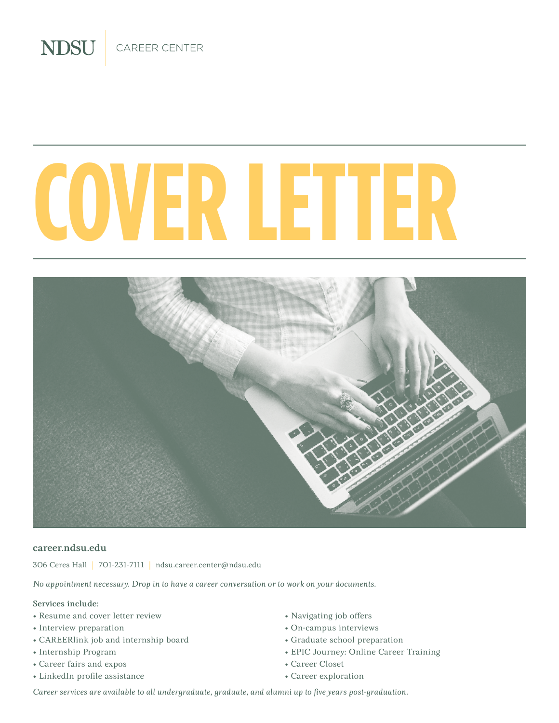CAREER CENTER

**NDSU** 

# **COVER LETTER**



#### career.ndsu.edu

306 Ceres Hall | 701-231-7111 | ndsu.career.center@ndsu.edu

*No appointment necessary. Drop in to have a career conversation or to work on your documents.*

#### Services include:

- Resume and cover letter review
- Interview preparation
- CAREERlink job and internship board
- Internship Program
- Career fairs and expos
- LinkedIn profile assistance
- Navigating job offers
- On-campus interviews
- Graduate school preparation
- EPIC Journey: Online Career Training
- Career Closet
- Career exploration

*Career services are available to all undergraduate, graduate, and alumni up to five years post-graduation.*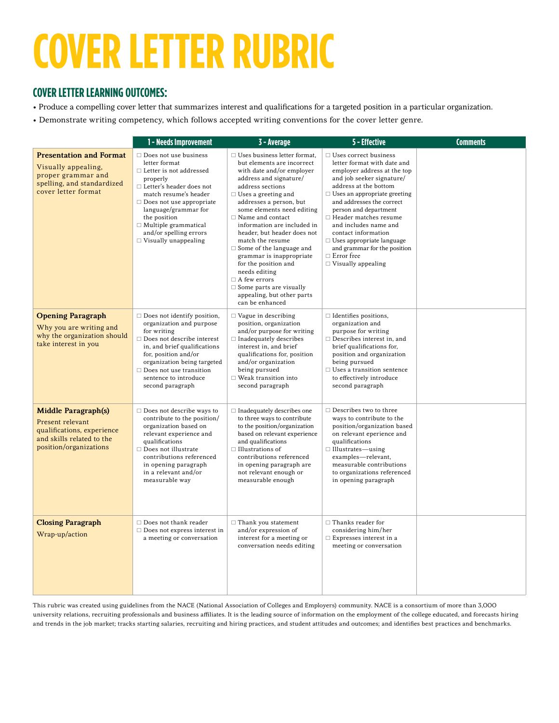## **COVER LETTER RUBRIC**

#### **COVER LETTER LEARNING OUTCOMES:**

- Produce a compelling cover letter that summarizes interest and qualifications for a targeted position in a particular organization.
- Demonstrate writing competency, which follows accepted writing conventions for the cover letter genre.

|                                                                                                                                     | 1 - Needs Improvement                                                                                                                                                                                                                                                                                                      | 3 - Average                                                                                                                                                                                                                                                                                                                                                                                                                                                                                                                                                        | 5 - Effective                                                                                                                                                                                                                                                                                                                                                                                                                                       | <b>Comments</b> |
|-------------------------------------------------------------------------------------------------------------------------------------|----------------------------------------------------------------------------------------------------------------------------------------------------------------------------------------------------------------------------------------------------------------------------------------------------------------------------|--------------------------------------------------------------------------------------------------------------------------------------------------------------------------------------------------------------------------------------------------------------------------------------------------------------------------------------------------------------------------------------------------------------------------------------------------------------------------------------------------------------------------------------------------------------------|-----------------------------------------------------------------------------------------------------------------------------------------------------------------------------------------------------------------------------------------------------------------------------------------------------------------------------------------------------------------------------------------------------------------------------------------------------|-----------------|
| <b>Presentation and Format</b><br>Visually appealing,<br>proper grammar and<br>spelling, and standardized<br>cover letter format    | $\Box$ Does not use business<br>letter format<br>$\Box$ Letter is not addressed<br>properly<br>$\Box$ Letter's header does not<br>match resume's header<br>$\Box$ Does not use appropriate<br>language/grammar for<br>the position<br>$\Box$ Multiple grammatical<br>and/or spelling errors<br>$\Box$ Visually unappealing | $\Box$ Uses business letter format.<br>but elements are incorrect<br>with date and/or employer<br>address and signature/<br>address sections<br>$\Box$ Uses a greeting and<br>addresses a person, but<br>some elements need editing<br>$\Box$ Name and contact<br>information are included in<br>header, but header does not<br>match the resume<br>$\Box$ Some of the language and<br>grammar is inappropriate<br>for the position and<br>needs editing<br>$\Box$ A few errors<br>$\Box$ Some parts are visually<br>appealing, but other parts<br>can be enhanced | $\Box$ Uses correct business<br>letter format with date and<br>employer address at the top<br>and job seeker signature/<br>address at the bottom<br>$\Box$ Uses an appropriate greeting<br>and addresses the correct<br>person and department<br>$\Box$ Header matches resume<br>and includes name and<br>contact information<br>$\Box$ Uses appropriate language<br>and grammar for the position<br>$\Box$ Error free<br>$\Box$ Visually appealing |                 |
| <b>Opening Paragraph</b><br>Why you are writing and<br>why the organization should<br>take interest in you                          | $\Box$ Does not identify position,<br>organization and purpose<br>for writing<br>$\Box$ Does not describe interest<br>in, and brief qualifications<br>for, position and/or<br>organization being targeted<br>$\Box$ Does not use transition<br>sentence to introduce<br>second paragraph                                   | $\Box$ Vague in describing<br>position, organization<br>and/or purpose for writing<br>$\Box$ Inadequately describes<br>interest in, and brief<br>qualifications for, position<br>and/or organization<br>being pursued<br>$\Box$ Weak transition into<br>second paragraph                                                                                                                                                                                                                                                                                           | $\Box$ Identifies positions,<br>organization and<br>purpose for writing<br>$\Box$ Describes interest in, and<br>brief qualifications for,<br>position and organization<br>being pursued<br>$\Box$ Uses a transition sentence<br>to effectively introduce<br>second paragraph                                                                                                                                                                        |                 |
| <b>Middle Paragraph(s)</b><br>Present relevant<br>qualifications, experience<br>and skills related to the<br>position/organizations | $\Box$ Does not describe ways to<br>contribute to the position/<br>organization based on<br>relevant experience and<br>qualifications<br>$\Box$ Does not illustrate<br>contributions referenced<br>in opening paragraph<br>in a relevant and/or<br>measurable way                                                          | $\Box$ Inadequately describes one<br>to three ways to contribute<br>to the position/organization<br>based on relevant experience<br>and qualifications<br>$\Box$ Illustrations of<br>contributions referenced<br>in opening paragraph are<br>not relevant enough or<br>measurable enough                                                                                                                                                                                                                                                                           | $\Box$ Describes two to three<br>ways to contribute to the<br>position/organization based<br>on relevant eperience and<br>qualifications<br>$\Box$ Illustrates—using<br>examples-relevant,<br>measurable contributions<br>to organizations referenced<br>in opening paragraph                                                                                                                                                                       |                 |
| <b>Closing Paragraph</b><br>Wrap-up/action                                                                                          | $\Box$ Does not thank reader<br>$\Box$ Does not express interest in<br>a meeting or conversation                                                                                                                                                                                                                           | $\Box$ Thank you statement<br>and/or expression of<br>interest for a meeting or<br>conversation needs editing                                                                                                                                                                                                                                                                                                                                                                                                                                                      | $\Box$ Thanks reader for<br>considering him/her<br>$\Box$ Expresses interest in a<br>meeting or conversation                                                                                                                                                                                                                                                                                                                                        |                 |

This rubric was created using guidelines from the NACE (National Association of Colleges and Employers) community. NACE is a consortium of more than 3,000 university relations, recruiting professionals and business affiliates. It is the leading source of information on the employment of the college educated, and forecasts hiring and trends in the job market; tracks starting salaries, recruiting and hiring practices, and student attitudes and outcomes; and identifies best practices and benchmarks.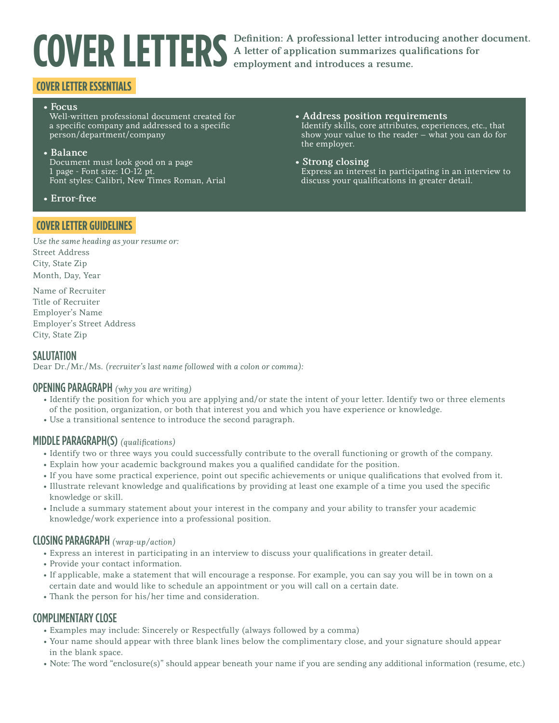**COVER LETTERS** Definition: A professional letter introducing another document.<br>A letter of application summarizes qualifications for<br>employment and introduces a resume. A letter of application summarizes qualifications for employment and introduces a resume.

#### **COVER LETTER ESSENTIALS**

#### • Focus

Well-written professional document created for a specific company and addressed to a specific person/department/company

#### • Balance

Document must look good on a page 1 page - Font size: 10-12 pt. Font styles: Calibri, New Times Roman, Arial

• Error-free

#### **COVER LETTER GUIDELINES**

• Address position requirements Identify skills, core attributes, experiences, etc., that show your value to the reader – what you can do for the employer.

#### • Strong closing

Express an interest in participating in an interview to discuss your qualifications in greater detail.

*Use the same heading as your resume or:* Street Address City, State Zip Month, Day, Year

Name of Recruiter Title of Recruiter Employer's Name Employer's Street Address City, State Zip

#### **SALUTATION**

Dear Dr./Mr./Ms. *(recruiter's last name followed with a colon or comma):*

#### OPENING PARAGRAPH *(why you are writing)*

- Identify the position for which you are applying and/or state the intent of your letter. Identify two or three elements of the position, organization, or both that interest you and which you have experience or knowledge.
- Use a transitional sentence to introduce the second paragraph.

#### MIDDLE PARAGRAPH(S) *(qualifications)*

- Identify two or three ways you could successfully contribute to the overall functioning or growth of the company.
- Explain how your academic background makes you a qualified candidate for the position.
- If you have some practical experience, point out specific achievements or unique qualifications that evolved from it.
- Illustrate relevant knowledge and qualifications by providing at least one example of a time you used the specific knowledge or skill.
- Include a summary statement about your interest in the company and your ability to transfer your academic knowledge/work experience into a professional position.

#### CLOSING PARAGRAPH *(wrap-up/action)*

- Express an interest in participating in an interview to discuss your qualifications in greater detail.
- Provide your contact information.
- If applicable, make a statement that will encourage a response. For example, you can say you will be in town on a certain date and would like to schedule an appointment or you will call on a certain date.
- Thank the person for his/her time and consideration.

#### COMPLIMENTARY CLOSE

- Examples may include: Sincerely or Respectfully (always followed by a comma)
- Your name should appear with three blank lines below the complimentary close, and your signature should appear in the blank space.
- Note: The word "enclosure(s)" should appear beneath your name if you are sending any additional information (resume, etc.)